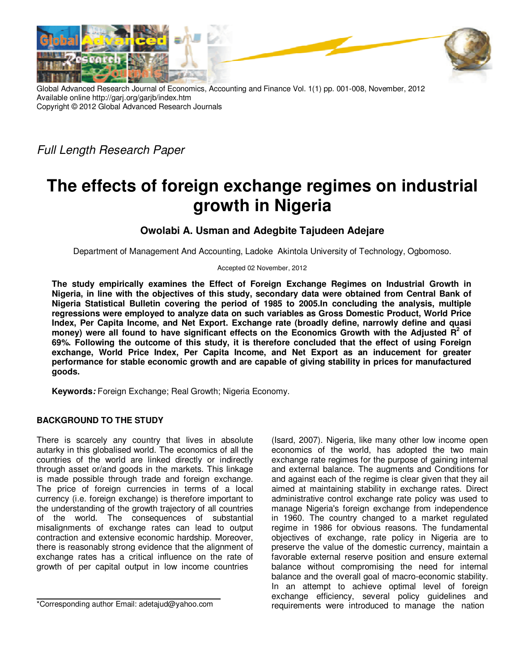

Global Advanced Research Journal of Economics, Accounting and Finance Vol. 1(1) pp. 001-008, November, 2012 Available online http://garj.org/garjb/index.htm Copyright © 2012 Global Advanced Research Journals

Full Length Research Paper

# **The effects of foreign exchange regimes on industrial growth in Nigeria**

# **Owolabi A. Usman and Adegbite Tajudeen Adejare**

Department of Management And Accounting, Ladoke Akintola University of Technology, Ogbomoso.

Accepted 02 November, 2012

**The study empirically examines the Effect of Foreign Exchange Regimes on Industrial Growth in Nigeria, in line with the objectives of this study, secondary data were obtained from Central Bank of Nigeria Statistical Bulletin covering the period of 1985 to 2005.In concluding the analysis, multiple regressions were employed to analyze data on such variables as Gross Domestic Product, World Price Index, Per Capita Income, and Net Export. Exchange rate (broadly define, narrowly define and quasi money) were all found to have significant effects on the Economics Growth with the Adjusted R<sup>2</sup> of 69%. Following the outcome of this study, it is therefore concluded that the effect of using Foreign exchange, World Price Index, Per Capita Income, and Net Export as an inducement for greater performance for stable economic growth and are capable of giving stability in prices for manufactured goods.** 

**Keywords***:* Foreign Exchange; Real Growth; Nigeria Economy.

## **BACKGROUND TO THE STUDY**

There is scarcely any country that lives in absolute autarky in this globalised world. The economics of all the countries of the world are linked directly or indirectly through asset or/and goods in the markets. This linkage is made possible through trade and foreign exchange. The price of foreign currencies in terms of a local currency (i.e. foreign exchange) is therefore important to the understanding of the growth trajectory of all countries of the world. The consequences of substantial misalignments of exchange rates can lead to output contraction and extensive economic hardship. Moreover, there is reasonably strong evidence that the alignment of exchange rates has a critical influence on the rate of growth of per capital output in low income countries

(Isard, 2007). Nigeria, like many other low income open economics of the world, has adopted the two main exchange rate regimes for the purpose of gaining internal and external balance. The augments and Conditions for and against each of the regime is clear given that they ail aimed at maintaining stability in exchange rates. Direct administrative control exchange rate policy was used to manage Nigeria's foreign exchange from independence in 1960. The country changed to a market regulated regime in 1986 for obvious reasons. The fundamental objectives of exchange, rate policy in Nigeria are to preserve the value of the domestic currency, maintain a favorable external reserve position and ensure external balance without compromising the need for internal balance and the overall goal of macro-economic stability. In an attempt to achieve optimal level of foreign exchange efficiency, several policy guidelines and requirements were introduced to manage the nation

<sup>\*</sup>Corresponding author Email: adetajud@yahoo.com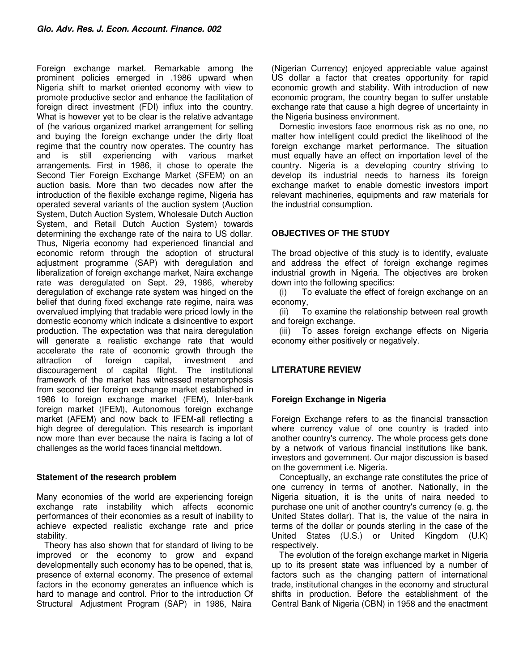Foreign exchange market. Remarkable among the prominent policies emerged in .1986 upward when Nigeria shift to market oriented economy with view to promote productive sector and enhance the facilitation of foreign direct investment (FDI) influx into the country. What is however yet to be clear is the relative advantage of (he various organized market arrangement for selling and buying the foreign exchange under the dirty float regime that the country now operates. The country has and is still experiencing with various market arrangements. First in 1986, it chose to operate the Second Tier Foreign Exchange Market (SFEM) on an auction basis. More than two decades now after the introduction of the flexible exchange regime, Nigeria has operated several variants of the auction system (Auction System, Dutch Auction System, Wholesale Dutch Auction System, and Retail Dutch Auction System) towards determining the exchange rate of the naira to US dollar. Thus, Nigeria economy had experienced financial and economic reform through the adoption of structural adjustment programme (SAP) with deregulation and liberalization of foreign exchange market, Naira exchange rate was deregulated on Sept. 29, 1986, whereby deregulation of exchange rate system was hinged on the belief that during fixed exchange rate regime, naira was overvalued implying that tradable were priced lowly in the domestic economy which indicate a disincentive to export production. The expectation was that naira deregulation will generate a realistic exchange rate that would accelerate the rate of economic growth through the attraction of foreign capital, investment and discouragement of capital flight. The institutional framework of the market has witnessed metamorphosis from second tier foreign exchange market established in 1986 to foreign exchange market (FEM), Inter-bank foreign market (IFEM), Autonomous foreign exchange market (AFEM) and now back to IFEM-all reflecting a high degree of deregulation. This research is important now more than ever because the naira is facing a lot of challenges as the world faces financial meltdown.

## **Statement of the research problem**

Many economies of the world are experiencing foreign exchange rate instability which affects economic performances of their economies as a result of inability to achieve expected realistic exchange rate and price stability.

Theory has also shown that for standard of living to be improved or the economy to grow and expand developmentally such economy has to be opened, that is, presence of external economy. The presence of external factors in the economy generates an influence which is hard to manage and control. Prior to the introduction Of Structural Adjustment Program (SAP) in 1986, Naira

(Nigerian Currency) enjoyed appreciable value against US dollar a factor that creates opportunity for rapid economic growth and stability. With introduction of new economic program, the country began to suffer unstable exchange rate that cause a high degree of uncertainty in the Nigeria business environment.

Domestic investors face enormous risk as no one, no matter how intelligent could predict the likelihood of the foreign exchange market performance. The situation must equally have an effect on importation level of the country. Nigeria is a developing country striving to develop its industrial needs to harness its foreign exchange market to enable domestic investors import relevant machineries, equipments and raw materials for the industrial consumption.

# **OBJECTIVES OF THE STUDY**

The broad objective of this study is to identify, evaluate and address the effect of foreign exchange regimes industrial growth in Nigeria. The objectives are broken down into the following specifics:

(i) To evaluate the effect of foreign exchange on an economy,

(ii) To examine the relationship between real growth and foreign exchange.

(iii) To asses foreign exchange effects on Nigeria economy either positively or negatively.

# **LITERATURE REVIEW**

# **Foreign Exchange in Nigeria**

Foreign Exchange refers to as the financial transaction where currency value of one country is traded into another country's currency. The whole process gets done by a network of various financial institutions like bank, investors and government. Our major discussion is based on the government i.e. Nigeria.

Conceptually, an exchange rate constitutes the price of one currency in terms of another. Nationally, in the Nigeria situation, it is the units of naira needed to purchase one unit of another country's currency (e. g. the United States dollar). That is, the value of the naira in terms of the dollar or pounds sterling in the case of the United States (U.S.) or United Kingdom (U.K) respectively.

The evolution of the foreign exchange market in Nigeria up to its present state was influenced by a number of factors such as the changing pattern of international trade, institutional changes in the economy and structural shifts in production. Before the establishment of the Central Bank of Nigeria (CBN) in 1958 and the enactment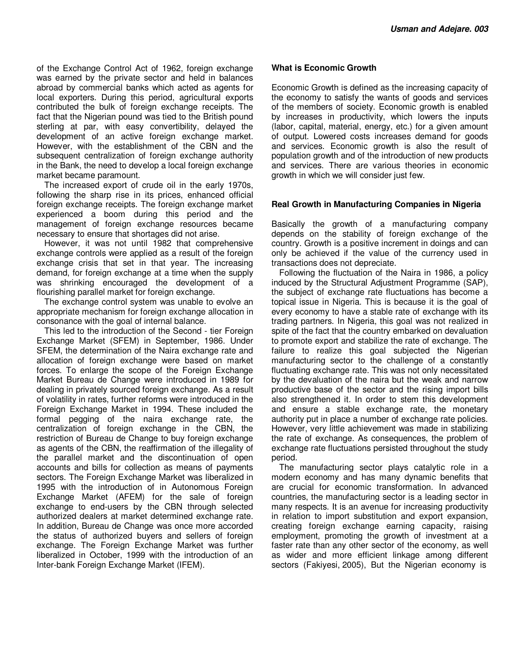of the Exchange Control Act of 1962, foreign exchange was earned by the private sector and held in balances abroad by commercial banks which acted as agents for local exporters. During this period, agricultural exports contributed the bulk of foreign exchange receipts. The fact that the Nigerian pound was tied to the British pound sterling at par, with easy convertibility, delayed the development of an active foreign exchange market. However, with the establishment of the CBN and the subsequent centralization of foreign exchange authority in the Bank, the need to develop a local foreign exchange market became paramount.

The increased export of crude oil in the early 1970s, following the sharp rise in its prices, enhanced official foreign exchange receipts. The foreign exchange market experienced a boom during this period and the management of foreign exchange resources became necessary to ensure that shortages did not arise.

However, it was not until 1982 that comprehensive exchange controls were applied as a result of the foreign exchange crisis that set in that year. The increasing demand, for foreign exchange at a time when the supply was shrinking encouraged the development of a flourishing parallel market for foreign exchange.

The exchange control system was unable to evolve an appropriate mechanism for foreign exchange allocation in consonance with the goal of internal balance.

This led to the introduction of the Second - tier Foreign Exchange Market (SFEM) in September, 1986. Under SFEM, the determination of the Naira exchange rate and allocation of foreign exchange were based on market forces. To enlarge the scope of the Foreign Exchange Market Bureau de Change were introduced in 1989 for dealing in privately sourced foreign exchange. As a result of volatility in rates, further reforms were introduced in the Foreign Exchange Market in 1994. These included the formal pegging of the naira exchange rate, the centralization of foreign exchange in the CBN, the restriction of Bureau de Change to buy foreign exchange as agents of the CBN, the reaffirmation of the illegality of the parallel market and the discontinuation of open accounts and bills for collection as means of payments sectors. The Foreign Exchange Market was liberalized in 1995 with the introduction of in Autonomous Foreign Exchange Market (AFEM) for the sale of foreign exchange to end-users by the CBN through selected authorized dealers at market determined exchange rate. In addition, Bureau de Change was once more accorded the status of authorized buyers and sellers of foreign exchange. The Foreign Exchange Market was further liberalized in October, 1999 with the introduction of an Inter-bank Foreign Exchange Market (IFEM).

#### **What is Economic Growth**

Economic Growth is defined as the increasing capacity of the economy to satisfy the wants of goods and services of the members of society. Economic growth is enabled by increases in productivity, which lowers the inputs (labor, capital, material, energy, etc.) for a given amount of output. Lowered costs increases demand for goods and services. Economic growth is also the result of population growth and of the introduction of new products and services. There are various theories in economic growth in which we will consider just few.

#### **Real Growth in Manufacturing Companies in Nigeria**

Basically the growth of a manufacturing company depends on the stability of foreign exchange of the country. Growth is a positive increment in doings and can only be achieved if the value of the currency used in transactions does not depreciate.

Following the fluctuation of the Naira in 1986, a policy induced by the Structural Adjustment Programme (SAP), the subject of exchange rate fluctuations has become a topical issue in Nigeria. This is because it is the goal of every economy to have a stable rate of exchange with its trading partners. In Nigeria, this goal was not realized in spite of the fact that the country embarked on devaluation to promote export and stabilize the rate of exchange. The failure to realize this goal subjected the Nigerian manufacturing sector to the challenge of a constantly fluctuating exchange rate. This was not only necessitated by the devaluation of the naira but the weak and narrow productive base of the sector and the rising import bills also strengthened it. In order to stem this development and ensure a stable exchange rate, the monetary authority put in place a number of exchange rate policies. However, very little achievement was made in stabilizing the rate of exchange. As consequences, the problem of exchange rate fluctuations persisted throughout the study period.

The manufacturing sector plays catalytic role in a modern economy and has many dynamic benefits that are crucial for economic transformation. In advanced countries, the manufacturing sector is a leading sector in many respects. It is an avenue for increasing productivity in relation to import substitution and export expansion, creating foreign exchange earning capacity, raising employment, promoting the growth of investment at a faster rate than any other sector of the economy, as well as wider and more efficient linkage among different sectors (Fakiyesi, 2005), But the Nigerian economy is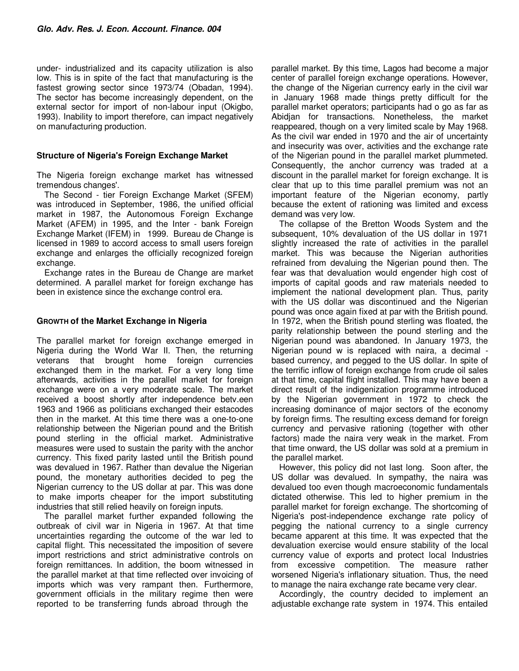under- industrialized and its capacity utilization is also low. This is in spite of the fact that manufacturing is the fastest growing sector since 1973/74 (Obadan, 1994). The sector has become increasingly dependent, on the external sector for import of non-labour input (Okigbo, 1993). Inability to import therefore, can impact negatively on manufacturing production.

### **Structure of Nigeria's Foreign Exchange Market**

The Nigeria foreign exchange market has witnessed tremendous changes'.

The Second - tier Foreign Exchange Market (SFEM) was introduced in September, 1986, the unified official market in 1987, the Autonomous Foreign Exchange Market (AFEM) in 1995, and the Inter - bank Foreign Exchange Market (IFEM) in 1999. Bureau de Change is licensed in 1989 to accord access to small users foreign exchange and enlarges the officially recognized foreign exchange.

Exchange rates in the Bureau de Change are market determined. A parallel market for foreign exchange has been in existence since the exchange control era.

## **GROWTH of the Market Exchange in Nigeria**

The parallel market for foreign exchange emerged in Nigeria during the World War II. Then, the returning veterans that brought home foreign currencies exchanged them in the market. For a very long time afterwards, activities in the parallel market for foreign exchange were on a very moderate scale. The market received a boost shortly after independence betv.een 1963 and 1966 as politicians exchanged their estacodes then in the market. At this time there was a one-to-one relationship between the Nigerian pound and the British pound sterling in the official market. Administrative measures were used to sustain the parity with the anchor currency. This fixed parity lasted until the British pound was devalued in 1967. Rather than devalue the Nigerian pound, the monetary authorities decided to peg the Nigerian currency to the US dollar at par. This was done to make imports cheaper for the import substituting industries that still relied heavily on foreign inputs.

The parallel market further expanded following the outbreak of civil war in Nigeria in 1967. At that time uncertainties regarding the outcome of the war led to capital flight. This necessitated the imposition of severe import restrictions and strict administrative controls on foreign remittances. In addition, the boom witnessed in the parallel market at that time reflected over invoicing of imports which was very rampant then. Furthermore, government officials in the military regime then were reported to be transferring funds abroad through the

parallel market. By this time, Lagos had become a major center of parallel foreign exchange operations. However, the change of the Nigerian currency early in the civil war in January 1968 made things pretty difficult for the parallel market operators; participants had o go as far as Abidjan for transactions. Nonetheless, the market reappeared, though on a very limited scale by May 1968. As the civil war ended in 1970 and the air of uncertainty and insecurity was over, activities and the exchange rate of the Nigerian pound in the parallel market plummeted. Consequently, the anchor currency was traded at a discount in the parallel market for foreign exchange. It is clear that up to this time parallel premium was not an important feature of the Nigerian economy, partly because the extent of rationing was limited and excess demand was very low.

The collapse of the Bretton Woods System and the subsequent, 10% devaluation of the US dollar in 1971 slightly increased the rate of activities in the parallel market. This was because the Nigerian authorities refrained from devaluing the Nigerian pound then. The fear was that devaluation would engender high cost of imports of capital goods and raw materials needed to implement the national development plan. Thus, parity with the US dollar was discontinued and the Nigerian pound was once again fixed at par with the British pound. In 1972, when the British pound sterling was floated, the parity relationship between the pound sterling and the Nigerian pound was abandoned. In January 1973, the Nigerian pound w is replaced with naira, a decimal based currency, and pegged to the US dollar. In spite of the terrific inflow of foreign exchange from crude oil sales at that time, capital flight installed. This may have been a direct result of the indigenization programme introduced by the Nigerian government in 1972 to check the increasing dominance of major sectors of the economy by foreign firms. The resulting excess demand for foreign currency and pervasive rationing (together with other factors) made the naira very weak in the market. From that time onward, the US dollar was sold at a premium in the parallel market.

However, this policy did not last long. Soon after, the US dollar was devalued. In sympathy, the naira was devalued too even though macroeconomic fundamentals dictated otherwise. This led to higher premium in the parallel market for foreign exchange. The shortcoming of Nigeria's post-independence exchange rate policy of pegging the national currency to a single currency became apparent at this time. It was expected that the devaluation exercise would ensure stability of the local currency value of exports and protect local Industries from excessive competition. The measure rather worsened Nigeria's inflationary situation. Thus, the need to manage the naira exchange rate became very clear.

Accordingly, the country decided to implement an adjustable exchange rate system in 1974. This entailed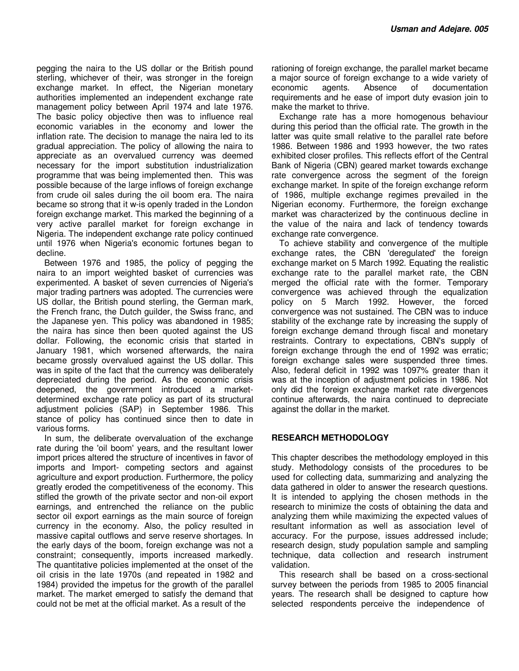pegging the naira to the US dollar or the British pound sterling, whichever of their, was stronger in the foreign exchange market. In effect, the Nigerian monetary authorities implemented an independent exchange rate management policy between April 1974 and late 1976. The basic policy objective then was to influence real economic variables in the economy and lower the inflation rate. The decision to manage the naira led to its gradual appreciation. The policy of allowing the naira to appreciate as an overvalued currency was deemed necessary for the import substitution industrialization programme that was being implemented then. This was possible because of the large inflows of foreign exchange from crude oil sales during the oil boom era. The naira became so strong that it w-is openly traded in the London foreign exchange market. This marked the beginning of a very active parallel market for foreign exchange in Nigeria. The independent exchange rate policy continued until 1976 when Nigeria's economic fortunes began to decline.

Between 1976 and 1985, the policy of pegging the naira to an import weighted basket of currencies was experimented. A basket of seven currencies of Nigeria's major trading partners was adopted. The currencies were US dollar, the British pound sterling, the German mark, the French franc, the Dutch guilder, the Swiss franc, and the Japanese yen. This policy was abandoned in 1985; the naira has since then been quoted against the US dollar. Following, the economic crisis that started in January 1981, which worsened afterwards, the naira became grossly overvalued against the US dollar. This was in spite of the fact that the currency was deliberately depreciated during the period. As the economic crisis deepened, the government introduced a marketdetermined exchange rate policy as part of its structural adjustment policies (SAP) in September 1986. This stance of policy has continued since then to date in various forms.

In sum, the deliberate overvaluation of the exchange rate during the 'oil boom' years, and the resultant lower import prices altered the structure of incentives in favor of imports and Import- competing sectors and against agriculture and export production. Furthermore, the policy greatly eroded the competitiveness of the economy. This stifled the growth of the private sector and non-oil export earnings, and entrenched the reliance on the public sector oil export earnings as the main source of foreign currency in the economy. Also, the policy resulted in massive capital outflows and serve reserve shortages. In the early days of the boom, foreign exchange was not a constraint; consequently, imports increased markedly. The quantitative policies implemented at the onset of the oil crisis in the late 1970s (and repeated in 1982 and 1984) provided the impetus for the growth of the parallel market. The market emerged to satisfy the demand that could not be met at the official market. As a result of the

rationing of foreign exchange, the parallel market became a major source of foreign exchange to a wide variety of economic agents. Absence of documentation requirements and he ease of import duty evasion join to make the market to thrive.

Exchange rate has a more homogenous behaviour during this period than the official rate. The growth in the latter was quite small relative to the parallel rate before 1986. Between 1986 and 1993 however, the two rates exhibited closer profiles. This reflects effort of the Central Bank of Nigeria (CBN) geared market towards exchange rate convergence across the segment of the foreign exchange market. In spite of the foreign exchange reform of 1986, multiple exchange regimes prevailed in the Nigerian economy. Furthermore, the foreign exchange market was characterized by the continuous decline in the value of the naira and lack of tendency towards exchange rate convergence.

To achieve stability and convergence of the multiple exchange rates, the CBN 'deregulated' the foreign exchange market on 5 March 1992. Equating the realistic exchange rate to the parallel market rate, the CBN merged the official rate with the former. Temporary convergence was achieved through the equalization policy on 5 March 1992. However, the forced convergence was not sustained. The CBN was to induce stability of the exchange rate by increasing the supply of foreign exchange demand through fiscal and monetary restraints. Contrary to expectations, CBN's supply of foreign exchange through the end of 1992 was erratic; foreign exchange sales were suspended three times. Also, federal deficit in 1992 was 1097% greater than it was at the inception of adjustment policies in 1986. Not only did the foreign exchange market rate divergences continue afterwards, the naira continued to depreciate against the dollar in the market.

#### **RESEARCH METHODOLOGY**

This chapter describes the methodology employed in this study. Methodology consists of the procedures to be used for collecting data, summarizing and analyzing the data gathered in older to answer the research questions. It is intended to applying the chosen methods in the research to minimize the costs of obtaining the data and analyzing them while maximizing the expected values of resultant information as well as association level of accuracy. For the purpose, issues addressed include; research design, study population sample and sampling technique, data collection and research instrument validation.

This research shall be based on a cross-sectional survey between the periods from 1985 to 2005 financial years. The research shall be designed to capture how selected respondents perceive the independence of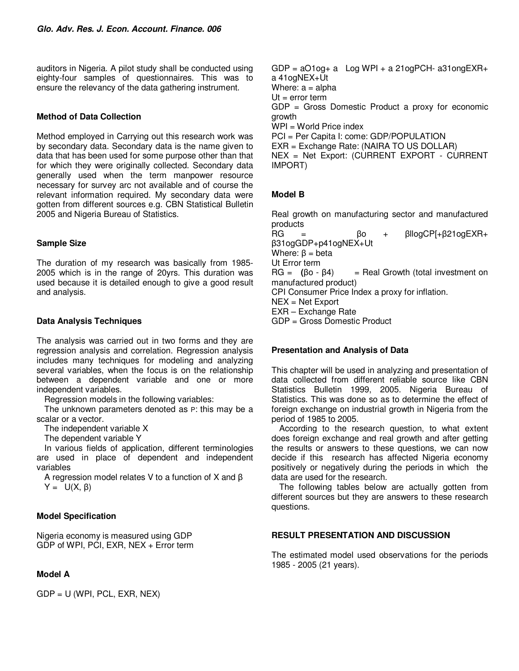auditors in Nigeria. A pilot study shall be conducted using eighty-four samples of questionnaires. This was to ensure the relevancy of the data gathering instrument.

### **Method of Data Collection**

Method employed in Carrying out this research work was by secondary data. Secondary data is the name given to data that has been used for some purpose other than that for which they were originally collected. Secondary data generally used when the term manpower resource necessary for survey arc not available and of course the relevant information required. My secondary data were gotten from different sources e.g. CBN Statistical Bulletin 2005 and Nigeria Bureau of Statistics.

### **Sample Size**

The duration of my research was basically from 1985- 2005 which is in the range of 20yrs. This duration was used because it is detailed enough to give a good result and analysis.

### **Data Analysis Techniques**

The analysis was carried out in two forms and they are regression analysis and correlation. Regression analysis includes many techniques for modeling and analyzing several variables, when the focus is on the relationship between a dependent variable and one or more independent variables.

Regression models in the following variables:

The unknown parameters denoted as P: this may be a scalar or a vector.

The independent variable X

The dependent variable Y

In various fields of application, different terminologies are used in place of dependent and independent variables

A regression model relates V to a function of X and β  $Y = U(X, \beta)$ 

#### **Model Specification**

Nigeria economy is measured using GDP GDP of WPI, PCI, EXR, NEX + Error term

#### **Model A**

 $GDP = U$  (WPI, PCL, EXR, NEX)

 $GDP = aO1oq + a$  Log WPI + a 21 $oqPCH - a31oqEXR +$ a 41ogNEX+Ut Where:  $a =$  alpha  $Ut = error term$ GDP = Gross Domestic Product a proxy for economic growth WPI = World Price index PCI = Per Capita I: come: GDP/POPULATION EXR = Exchange Rate: (NAIRA TO US DOLLAR) NEX = Net Export: (CURRENT EXPORT - CURRENT IMPORT)

### **Model B**

Real growth on manufacturing sector and manufactured products<br>RG

RG = βo + βllogCP[+β21ogEXR+ β31ogGDP+p41ogNEX+Ut Where:  $β = beta$ Ut Error term  $HG = (60 - 64)$  = Real Growth (total investment on manufactured product) CPI Consumer Price Index a proxy for inflation.  $NEX = Net Export$ EXR – Exchange Rate GDP = Gross Domestic Product

#### **Presentation and Analysis of Data**

This chapter will be used in analyzing and presentation of data collected from different reliable source like CBN Statistics Bulletin 1999, 2005. Nigeria Bureau of Statistics. This was done so as to determine the effect of foreign exchange on industrial growth in Nigeria from the period of 1985 to 2005.

According to the research question, to what extent does foreign exchange and real growth and after getting the results or answers to these questions, we can now decide if this research has affected Nigeria economy positively or negatively during the periods in which the data are used for the research.

The following tables below are actually gotten from different sources but they are answers to these research questions.

#### **RESULT PRESENTATION AND DISCUSSION**

The estimated model used observations for the periods 1985 - 2005 (21 years).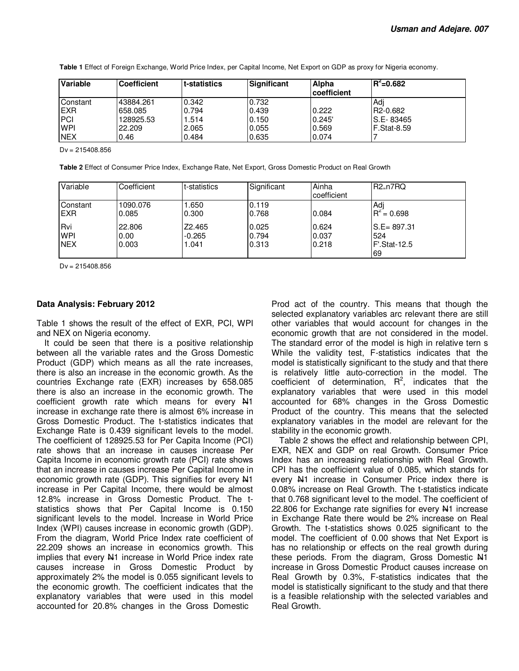| Variable    | <b>Coefficient</b> | t-statistics | Significant | Alpha<br>coefficient | $R^2 = 0.682$         |
|-------------|--------------------|--------------|-------------|----------------------|-----------------------|
| Constant    | 43884.261          | 0.342        | 0.732       |                      | Adi                   |
| <b>IEXR</b> | 658.085            | 0.794        | 0.439       | 0.222                | R <sub>2</sub> -0.682 |
| <b>PCI</b>  | 128925.53          | 1.514        | 0.150       | 0.245'               | IS.E-83465            |
| <b>WPI</b>  | 22.209             | 2.065        | 0.055       | 0.569                | <b>F.Stat-8.59</b>    |
| <b>NEX</b>  | 0.46               | 0.484        | 0.635       | 0.074                |                       |

**Table 1** Effect of Foreign Exchange, World Price Index, per Capital Income, Net Export on GDP as proxy for Nigeria economy.

Dv = 215408.856

**Table 2** Effect of Consumer Price Index, Exchange Rate, Net Export, Gross Domestic Product on Real Growth

| Variable                        | Coefficient             | t-statistics                | Significant             | Ainha<br>coefficient    | R2 <sub>=</sub> n7RQ                        |
|---------------------------------|-------------------------|-----------------------------|-------------------------|-------------------------|---------------------------------------------|
| Constant<br><b>EXR</b>          | 1090.076<br>0.085       | 1.650<br>0.300              | 0.119<br>0.768          | 0.084                   | Adi<br>$R^2 = 0.698$                        |
| Rvi<br><b>WPI</b><br><b>NEX</b> | 22,806<br>0.00<br>0.003 | Z2.465<br>$-0.265$<br>1.041 | 0.025<br>0.794<br>0.313 | 0.624<br>0.037<br>0.218 | $S.E = 897.31$<br>524<br>F'.Stat-12.5<br>69 |

Dv = 215408.856

#### **Data Analysis: February 2012**

Table 1 shows the result of the effect of EXR, PCI, WPI and NEX on Nigeria economy.

It could be seen that there is a positive relationship between all the variable rates and the Gross Domestic Product (GDP) which means as all the rate increases, there is also an increase in the economic growth. As the countries Exchange rate (EXR) increases by 658.085 there is also an increase in the economic growth. The coefficient growth rate which means for every N1 increase in exchange rate there is almost 6% increase in Gross Domestic Product. The t-statistics indicates that Exchange Rate is 0.439 significant levels to the model. The coefficient of 128925.53 for Per Capita Income (PCI) rate shows that an increase in causes increase Per Capita Income in economic growth rate (PCI) rate shows that an increase in causes increase Per Capital Income in economic growth rate (GDP). This signifies for every  $\frac{141}{12}$ increase in Per Capital Income, there would be almost 12.8% increase in Gross Domestic Product. The tstatistics shows that Per Capital Income is 0.150 significant levels to the model. Increase in World Price Index (WPI) causes increase in economic growth (GDP). From the diagram, World Price Index rate coefficient of 22.209 shows an increase in economics growth. This implies that every N1 increase in World Price index rate causes increase in Gross Domestic Product by approximately 2% the model is 0.055 significant levels to the economic growth. The coefficient indicates that the explanatory variables that were used in this model accounted for 20.8% changes in the Gross Domestic

Prod act of the country. This means that though the selected explanatory variables arc relevant there are still other variables that would account for changes in the economic growth that are not considered in the model. The standard error of the model is high in relative tern s While the validity test, F-statistics indicates that the model is statistically significant to the study and that there is relatively little auto-correction in the model. The coefficient of determination,  $R^2$ , indicates that the explanatory variables that were used in this model accounted for 68% changes in the Gross Domestic Product of the country. This means that the selected explanatory variables in the model are relevant for the stability in the economic growth.

Table 2 shows the effect and relationship between CPI, EXR, NEX and GDP on real Growth. Consumer Price Index has an increasing relationship with Real Growth. CPI has the coefficient value of 0.085, which stands for every  $\frac{1}{2}$  increase in Consumer Price index there is 0.08% increase on Real Growth. The t-statistics indicate that 0.768 significant level to the model. The coefficient of 22.806 for Exchange rate signifies for every  $H1$  increase in Exchange Rate there would be 2% increase on Real Growth. The t-statistics shows 0.025 significant to the model. The coefficient of 0.00 shows that Net Export is has no relationship or effects on the real growth during these periods. From the diagram, Gross Domestic  $\mathbb{H}^1$ increase in Gross Domestic Product causes increase on Real Growth by 0.3%, F-statistics indicates that the model is statistically significant to the study and that there is a feasible relationship with the selected variables and Real Growth.